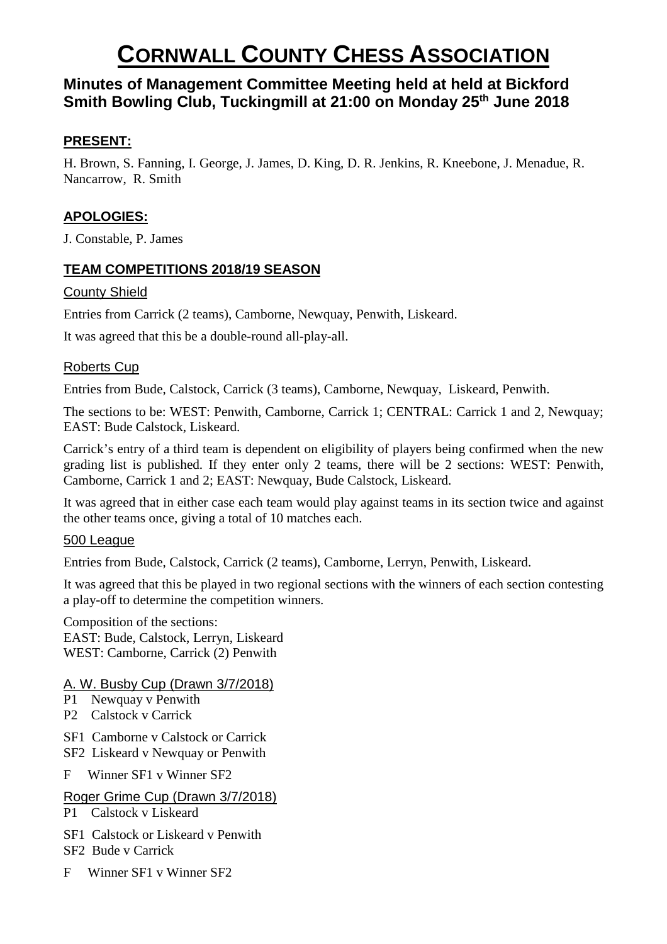# **CORNWALL COUNTY CHESS ASSOCIATION**

## **Minutes of Management Committee Meeting held at held at Bickford Smith Bowling Club, Tuckingmill at 21:00 on Monday 25th June 2018**

#### **PRESENT:**

H. Brown, S. Fanning, I. George, J. James, D. King, D. R. Jenkins, R. Kneebone, J. Menadue, R. Nancarrow, R. Smith

## **APOLOGIES:**

J. Constable, P. James

### **TEAM COMPETITIONS 2018/19 SEASON**

#### County Shield

Entries from Carrick (2 teams), Camborne, Newquay, Penwith, Liskeard.

It was agreed that this be a double-round all-play-all.

#### Roberts Cup

Entries from Bude, Calstock, Carrick (3 teams), Camborne, Newquay, Liskeard, Penwith.

The sections to be: WEST: Penwith, Camborne, Carrick 1; CENTRAL: Carrick 1 and 2, Newquay; EAST: Bude Calstock, Liskeard.

Carrick's entry of a third team is dependent on eligibility of players being confirmed when the new grading list is published. If they enter only 2 teams, there will be 2 sections: WEST: Penwith, Camborne, Carrick 1 and 2; EAST: Newquay, Bude Calstock, Liskeard.

It was agreed that in either case each team would play against teams in its section twice and against the other teams once, giving a total of 10 matches each.

#### 500 League

Entries from Bude, Calstock, Carrick (2 teams), Camborne, Lerryn, Penwith, Liskeard.

It was agreed that this be played in two regional sections with the winners of each section contesting a play-off to determine the competition winners.

Composition of the sections:

EAST: Bude, Calstock, Lerryn, Liskeard WEST: Camborne, Carrick (2) Penwith

#### A. W. Busby Cup (Drawn 3/7/2018)

- P1 Newquay v Penwith
- P2 Calstock v Carrick
- SF1 Camborne v Calstock or Carrick
- SF2 Liskeard v Newquay or Penwith
- F Winner SF1 v Winner SF2

#### Roger Grime Cup (Drawn 3/7/2018)

- P1 Calstock v Liskeard
- SF1 Calstock or Liskeard v Penwith
- SF2 Bude v Carrick
- F Winner SF1 v Winner SF2